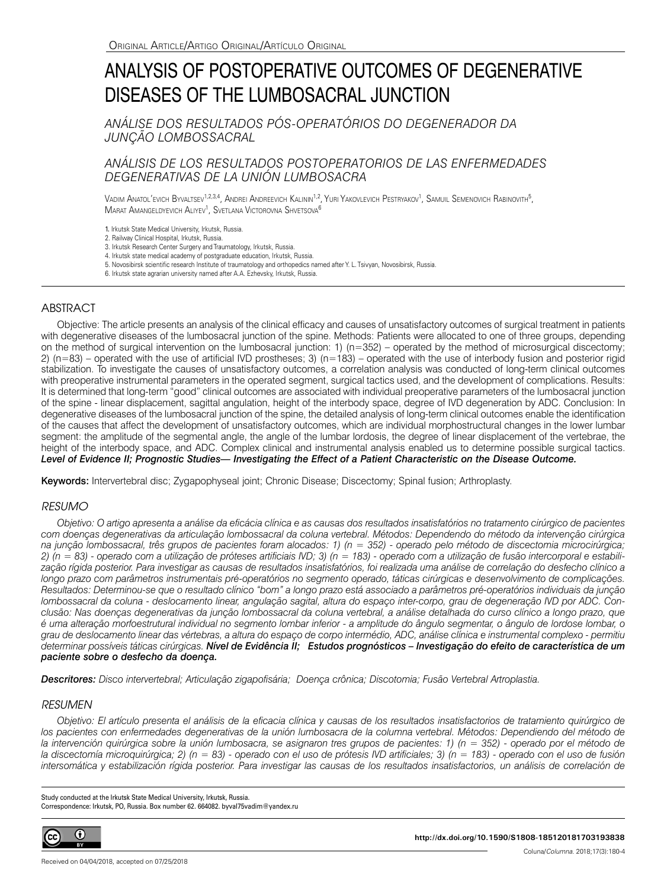# ANALYSIS OF POSTOPERATIVE OUTCOMES OF DEGENERATIVE DISEASES OF THE LUMBOSACRAL JUNCTION

*ANÁLISE DOS RESULTADOS PÓS-OPERATÓRIOS DO DEGENERADOR DA JUNÇÃO LOMBOSSACRAL*

# *ANÁLISIS DE LOS RESULTADOS POSTOPERATORIOS DE LAS ENFERMEDADES DEGENERATIVAS DE LA UNIÓN LUMBOSACRA*

Vadim Anatol'evich Byvaltsev<sup>1,2,3,4</sup>, Andrei Andreevich Kalinin<sup>1,2</sup>, Yuri Yakovlevich Pestryakov<sup>1</sup>, Samuil Semenovich Rabinovith<sup>5</sup>, Marat Amangeldyevich Aliyev<sup>1</sup>, Svetlana Victorovna Shvetsova<sup>6</sup>

1. Irkutsk State Medical University, Irkutsk, Russia.

2. Railway Clinical Hospital, Irkutsk, Russia.

3. Irkutsk Research Center Surgery and Traumatology, Irkutsk, Russia.

4. Irkutsk state medical academy of postgraduate education, Irkutsk, Russia. 5. Novosibirsk scientific research Institute of traumatology and orthopedics named after Y. L. Tsivyan, Novosibirsk, Russia.

6. Irkutsk state agrarian university named after A.A. Ezhevsky, Irkutsk, Russia.

# ABSTRACT

Objective: The article presents an analysis of the clinical efficacy and causes of unsatisfactory outcomes of surgical treatment in patients with degenerative diseases of the lumbosacral junction of the spine. Methods: Patients were allocated to one of three groups, depending on the method of surgical intervention on the lumbosacral junction: 1) ( $n=352$ ) – operated by the method of microsurgical discectomy; 2)  $(n=83)$  – operated with the use of artificial IVD prostheses; 3)  $(n=183)$  – operated with the use of interbody fusion and posterior rigid stabilization. To investigate the causes of unsatisfactory outcomes, a correlation analysis was conducted of long-term clinical outcomes with preoperative instrumental parameters in the operated segment, surgical tactics used, and the development of complications. Results: It is determined that long-term "good" clinical outcomes are associated with individual preoperative parameters of the lumbosacral junction of the spine - linear displacement, sagittal angulation, height of the interbody space, degree of IVD degeneration by ADC. Conclusion: In degenerative diseases of the lumbosacral junction of the spine, the detailed analysis of long-term clinical outcomes enable the identification of the causes that affect the development of unsatisfactory outcomes, which are individual morphostructural changes in the lower lumbar segment: the amplitude of the segmental angle, the angle of the lumbar lordosis, the degree of linear displacement of the vertebrae, the height of the interbody space, and ADC. Complex clinical and instrumental analysis enabled us to determine possible surgical tactics. *Level of Evidence II; Prognostic Studies— Investigating the Effect of a Patient Characteristic on the Disease Outcome.* 

Keywords: Intervertebral disc; Zygapophyseal joint; Chronic Disease; Discectomy; Spinal fusion; Arthroplasty.

# *RESUMO*

*Objetivo: O artigo apresenta a análise da eficácia clínica e as causas dos resultados insatisfatórios no tratamento cirúrgico de pacientes com doenças degenerativas da articulação lombossacral da coluna vertebral. Métodos: Dependendo do método da intervenção cirúrgica na junção lombossacral, três grupos de pacientes foram alocados: 1) (n = 352) - operado pelo método de discectomia microcirúrgica; 2) (n = 83) - operado com a utilização de próteses artificiais IVD; 3) (n = 183) - operado com a utilização de fusão intercorporal e estabilização rígida posterior. Para investigar as causas de resultados insatisfatórios, foi realizada uma análise de correlação do desfecho clínico a longo prazo com parâmetros instrumentais pré-operatórios no segmento operado, táticas cirúrgicas e desenvolvimento de complicações. Resultados: Determinou-se que o resultado clínico "bom" a longo prazo está associado a parâmetros pré-operatórios individuais da junção lombossacral da coluna - deslocamento linear, angulação sagital, altura do espaço inter-corpo, grau de degeneração IVD por ADC. Conclusão: Nas doenças degenerativas da junção lombossacral da coluna vertebral, a análise detalhada do curso clínico a longo prazo, que é uma alteração morfoestrutural individual no segmento lombar inferior - a amplitude do ângulo segmentar, o ângulo de lordose lombar, o grau de deslocamento linear das vértebras, a altura do espaço de corpo intermédio, ADC, análise clínica e instrumental complexo - permitiu determinar possíveis táticas cirúrgicas. Nível de Evidência II; Estudos prognósticos – Investigação do efeito de característica de um paciente sobre o desfecho da doença.*

*Descritores: Disco intervertebral; Articulação zigapofisária; Doença crônica; Discotomia; Fusão Vertebral Artroplastia.*

# *RESUMEN*

*Objetivo: El artículo presenta el análisis de la eficacia clínica y causas de los resultados insatisfactorios de tratamiento quirúrgico de los pacientes con enfermedades degenerativas de la unión lumbosacra de la columna vertebral. Métodos: Dependiendo del método de* la intervención quirúrgica sobre la unión lumbosacra, se asignaron tres grupos de pacientes: 1) (n = 352) - operado por el método de *la discectomía microquirúrgica; 2) (n = 83) - operado con el uso de prótesis IVD artificiales; 3) (n = 183) - operado con el uso de fusión intersomática y estabilización rígida posterior. Para investigar las causas de los resultados insatisfactorios, un análisis de correlación de* 

Study conducted at the Irkutsk State Medical University, Irkutsk, Russia. Correspondence: Irkutsk, PO, Russia. Box number 62. 664082. byval75vadim@yandex.ru



**http://dx.doi.org/10.1590/S1808-185120181703193838**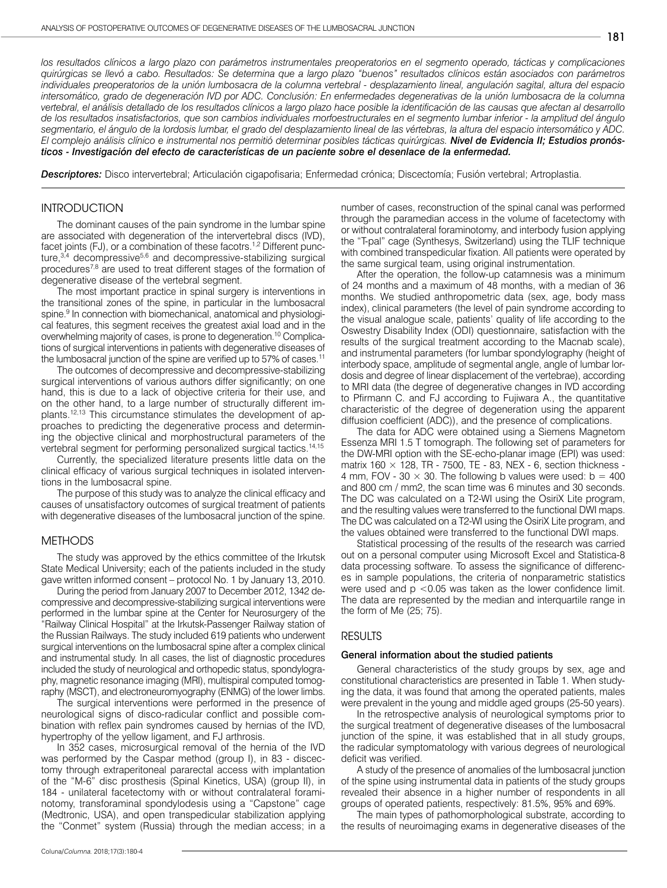181

los resultados clínicos a largo plazo con parámetros instrumentales preoperatorios en el segmento operado, tácticas y complicaciones *quirúrgicas se llevó a cabo. Resultados: Se determina que a largo plazo "buenos" resultados clínicos están asociados con parámetros individuales preoperatorios de la unión lumbosacra de la columna vertebral - desplazamiento lineal, angulación sagital, altura del espacio intersomático, grado de degeneración IVD por ADC. Conclusión: En enfermedades degenerativas de la unión lumbosacra de la columna vertebral, el análisis detallado de los resultados clínicos a largo plazo hace posible la identificación de las causas que afectan al desarrollo de los resultados insatisfactorios, que son cambios individuales morfoestructurales en el segmento lumbar inferior - la amplitud del ángulo segmentario, el ángulo de la lordosis lumbar, el grado del desplazamiento lineal de las vértebras, la altura del espacio intersomático y ADC. El complejo análisis clínico e instrumental nos permitió determinar posibles tácticas quirúrgicas. Nivel de Evidencia II; Estudios pronósticos - Investigación del efecto de características de un paciente sobre el desenlace de la enfermedad.*

*Descriptores:* Disco intervertebral; Articulación cigapofisaria; Enfermedad crónica; Discectomía; Fusión vertebral; Artroplastia.

# INTRODUCTION

The dominant causes of the pain syndrome in the lumbar spine are associated with degeneration of the intervertebral discs (IVD), facet joints (FJ), or a combination of these facotrs.<sup>1,2</sup> Different puncture,<sup>3,4</sup> decompressive<sup>5,6</sup> and decompressive-stabilizing surgical procedures7,8 are used to treat different stages of the formation of degenerative disease of the vertebral segment.

The most important practice in spinal surgery is interventions in the transitional zones of the spine, in particular in the lumbosacral spine.<sup>9</sup> In connection with biomechanical, anatomical and physiological features, this segment receives the greatest axial load and in the overwhelming majority of cases, is prone to degeneration.10 Complications of surgical interventions in patients with degenerative diseases of the lumbosacral junction of the spine are verified up to 57% of cases.<sup>11</sup>

The outcomes of decompressive and decompressive-stabilizing surgical interventions of various authors differ significantly; on one hand, this is due to a lack of objective criteria for their use, and on the other hand, to a large number of structurally different implants.12,13 This circumstance stimulates the development of approaches to predicting the degenerative process and determining the objective clinical and morphostructural parameters of the vertebral segment for performing personalized surgical tactics.<sup>14,15</sup>

Currently, the specialized literature presents little data on the clinical efficacy of various surgical techniques in isolated interventions in the lumbosacral spine.

The purpose of this study was to analyze the clinical efficacy and causes of unsatisfactory outcomes of surgical treatment of patients with degenerative diseases of the lumbosacral junction of the spine.

## METHODS

The study was approved by the ethics committee of the Irkutsk State Medical University; each of the patients included in the study gave written informed consent – protocol No. 1 by January 13, 2010.

During the period from January 2007 to December 2012, 1342 decompressive and decompressive-stabilizing surgical interventions were performed in the lumbar spine at the Center for Neurosurgery of the "Railway Clinical Hospital" at the Irkutsk-Passenger Railway station of the Russian Railways. The study included 619 patients who underwent surgical interventions on the lumbosacral spine after a complex clinical and instrumental study. In all cases, the list of diagnostic procedures included the study of neurological and orthopedic status, spondylography, magnetic resonance imaging (MRI), multispiral computed tomography (MSCT), and electroneuromyography (ENMG) of the lower limbs.

The surgical interventions were performed in the presence of neurological signs of disco-radicular conflict and possible combination with reflex pain syndromes caused by hernias of the IVD, hypertrophy of the yellow ligament, and FJ arthrosis.

In 352 cases, microsurgical removal of the hernia of the IVD was performed by the Caspar method (group I), in 83 - discectomy through extraperitoneal pararectal access with implantation of the "M-6" disc prosthesis (Spinal Kinetics, USA) (group II), in 184 - unilateral facetectomy with or without contralateral foraminotomy, transforaminal spondylodesis using a "Capstone" cage (Medtronic, USA), and open transpedicular stabilization applying the "Conmet" system (Russia) through the median access; in a number of cases, reconstruction of the spinal canal was performed through the paramedian access in the volume of facetectomy with or without contralateral foraminotomy, and interbody fusion applying the "T-pal" cage (Synthesys, Switzerland) using the TLIF technique with combined transpedicular fixation. All patients were operated by the same surgical team, using original instrumentation.

After the operation, the follow-up catamnesis was a minimum of 24 months and a maximum of 48 months, with a median of 36 months. We studied anthropometric data (sex, age, body mass index), clinical parameters (the level of pain syndrome according to the visual analogue scale, patients' quality of life according to the Oswestry Disability Index (ODI) questionnaire, satisfaction with the results of the surgical treatment according to the Macnab scale), and instrumental parameters (for lumbar spondylography (height of interbody space, amplitude of segmental angle, angle of lumbar lordosis and degree of linear displacement of the vertebrae), according to MRI data (the degree of degenerative changes in IVD according to Pfirmann C. and FJ according to Fujiwara A., the quantitative characteristic of the degree of degeneration using the apparent diffusion coefficient (ADC)), and the presence of complications.

The data for ADC were obtained using a Siemens Magnetom Essenza MRI 1.5 T tomograph. The following set of parameters for the DW-MRI option with the SE-echo-planar image (EPI) was used: matrix 160  $\times$  128, TR - 7500, TE - 83, NEX - 6, section thickness -4 mm, FOV - 30  $\times$  30. The following b values were used: b = 400 and 800 cm / mm2, the scan time was 6 minutes and 30 seconds. The DC was calculated on a T2-WI using the OsiriX Lite program, and the resulting values were transferred to the functional DWI maps. The DC was calculated on a T2-WI using the OsiriX Lite program, and the values obtained were transferred to the functional DWI maps.

Statistical processing of the results of the research was carried out on a personal computer using Microsoft Excel and Statistica-8 data processing software. To assess the significance of differences in sample populations, the criteria of nonparametric statistics were used and p <0.05 was taken as the lower confidence limit. The data are represented by the median and interquartile range in the form of Me (25; 75).

### RESULTS

#### General information about the studied patients

General characteristics of the study groups by sex, age and constitutional characteristics are presented in Table 1. When studying the data, it was found that among the operated patients, males were prevalent in the young and middle aged groups (25-50 years).

In the retrospective analysis of neurological symptoms prior to the surgical treatment of degenerative diseases of the lumbosacral junction of the spine, it was established that in all study groups, the radicular symptomatology with various degrees of neurological deficit was verified.

A study of the presence of anomalies of the lumbosacral junction of the spine using instrumental data in patients of the study groups revealed their absence in a higher number of respondents in all groups of operated patients, respectively: 81.5%, 95% and 69%.

The main types of pathomorphological substrate, according to the results of neuroimaging exams in degenerative diseases of the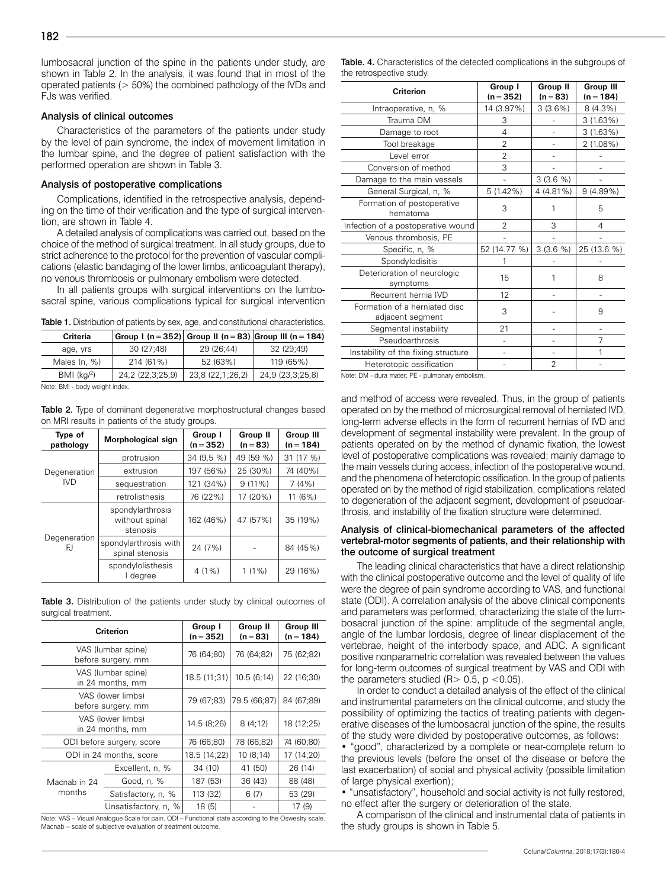lumbosacral junction of the spine in the patients under study, are shown in Table 2. In the analysis, it was found that in most of the operated patients (> 50%) the combined pathology of the IVDs and FJs was verified.

#### Analysis of clinical outcomes

Characteristics of the parameters of the patients under study by the level of pain syndrome, the index of movement limitation in the lumbar spine, and the degree of patient satisfaction with the performed operation are shown in Table 3.

#### Analysis of postoperative complications

Complications, identified in the retrospective analysis, depending on the time of their verification and the type of surgical intervention, are shown in Table 4.

A detailed analysis of complications was carried out, based on the choice of the method of surgical treatment. In all study groups, due to strict adherence to the protocol for the prevention of vascular complications (elastic bandaging of the lower limbs, anticoagulant therapy), no venous thrombosis or pulmonary embolism were detected.

In all patients groups with surgical interventions on the lumbosacral spine, various complications typical for surgical intervention

Table 1. Distribution of patients by sex, age, and constitutional characteristics.

| <b>Criteria</b>                                     |                  |                  | $ $ Group I (n = 352) Group II (n = 83) Group III (n = 184) |  |  |  |
|-----------------------------------------------------|------------------|------------------|-------------------------------------------------------------|--|--|--|
| age, yrs                                            | 30 (27;48)       | 29 (26:44)       | 32 (29;49)                                                  |  |  |  |
| Males (n, %)                                        | 214 (61%)        | 52 (63%)         | 119 (65%)                                                   |  |  |  |
| $BMI (kq)^2$                                        | 24,2 (22,3;25,9) | 23,8 (22,1;26,2) | 24,9 (23,3;25,8)                                            |  |  |  |
| All and a CDM the state and a contract the state of |                  |                  |                                                             |  |  |  |

Note: BMI - body weight index.

Table 2. Type of dominant degenerative morphostructural changes based on MRI results in patients of the study groups.

| Type of<br>pathology       | Morphological sign                             | Group I<br>$(n = 352)$ | Group II<br>$(n = 83)$ | Group III<br>$(n = 184)$ |
|----------------------------|------------------------------------------------|------------------------|------------------------|--------------------------|
|                            | protrusion                                     | 34 (9,5 %)             | 49 (59 %)              | 31 (17 %)                |
| Degeneration<br><b>IVD</b> | extrusion                                      | 197 (56%)              | 25 (30%)               | 74 (40%)                 |
|                            | sequestration                                  | 121 (34%)              | $9(11\%)$              | 7(4%)                    |
|                            | retrolisthesis                                 | 76 (22%)               | 17 (20%)               | 11(6%)                   |
| Degeneration<br>FJ.        | spondylarthrosis<br>without spinal<br>stenosis | 162 (46%)              | 47 (57%)               | 35 (19%)                 |
|                            | spondylarthrosis with<br>spinal stenosis       | 24 (7%)                |                        | 84 (45%)                 |
|                            | spondylolisthesis<br>I degree                  | $4(1\%)$               | $1(1\%)$               | 29 (16%)                 |

Table 3. Distribution of the patients under study by clinical outcomes of surgical treatment.

|                                          | <b>Criterion</b>     | Group I<br>$(n = 352)$     | Group II<br>$(n = 83)$ |            |
|------------------------------------------|----------------------|----------------------------|------------------------|------------|
| VAS (lumbar spine)<br>before surgery, mm |                      | 76 (64;80)<br>76 (64;82)   |                        | 75 (62;82) |
| VAS (lumbar spine)<br>in 24 months, mm   |                      | 18.5(11;31)<br>10.5(6;14)  |                        | 22 (16;30) |
| VAS (lower limbs)<br>before surgery, mm  |                      | 79 (67;83)<br>79.5 (66;87) |                        | 84 (67;89) |
| VAS (lower limbs)<br>in 24 months, mm    |                      | 14.5 (8;26)<br>8(4;12)     |                        | 18 (12;25) |
| ODI before surgery, score                |                      | 76 (66;80)<br>78 (66;82)   |                        | 74 (60;80) |
| ODI in 24 months, score                  |                      | 18.5 (14;22)               | 10(8;14)               | 17 (14;20) |
| Macnab in 24<br>months                   | Excellent, n, %      | 34 (10)                    | 41 (50)                | 26 (14)    |
|                                          | Good, n, %           | 187 (53)                   | 36 (43)                | 88 (48)    |
|                                          | Satisfactory, n, %   | 113 (32)                   | 6(7)                   | 53 (29)    |
|                                          | Unsatisfactory, n, % | 18(5)                      |                        | 17(9)      |

Note: VAS – Visual Analogue Scale for pain. ODI – Functional state according to the Oswestry scale. Macnab – scale of subjective evaluation of treatment outcome.

Table. 4. Characteristics of the detected complications in the subgroups of the retrospective study.

| Criterion                                         | Group I<br>$(n = 352)$ | Group II<br>$(n = 83)$ | <b>Group III</b><br>$(n = 184)$ |
|---------------------------------------------------|------------------------|------------------------|---------------------------------|
| Intraoperative, n, %                              | 14 (3.97%)             | 3(3.6%)                | $8(4.3\%)$                      |
| Trauma DM                                         | 3                      |                        | 3(1.63%)                        |
| Damage to root                                    | 4                      |                        | 3 (1.63%)                       |
| Tool breakage                                     | 2                      |                        | 2 (1.08%)                       |
| Level error                                       | 2                      |                        |                                 |
| Conversion of method                              | 3                      |                        |                                 |
| Damage to the main vessels                        |                        | 3(3.6%                 |                                 |
| General Surgical, n, %                            | $5(1.42\%)$            | 4 (4.81%)              | 9(4.89%)                        |
| Formation of postoperative<br>hematoma            | 3                      |                        | 5                               |
| Infection of a postoperative wound                | 2                      | 3                      | 4                               |
| Venous thrombosis, PE                             |                        |                        |                                 |
| Specific, n, %                                    | 52 (14.77 %)           | $3(3.6\%)$             | 25 (13.6 %)                     |
| Spondylodisitis                                   | 1                      |                        |                                 |
| Deterioration of neurologic<br>symptoms           | 15                     |                        | 8                               |
| Recurrent hernia IVD                              | 12                     |                        |                                 |
| Formation of a herniated disc<br>adjacent segment | 3                      |                        | 9                               |
| Segmental instability                             | 21                     |                        |                                 |
| Pseudoarthrosis                                   |                        |                        | 7                               |
| Instability of the fixing structure               |                        |                        |                                 |
| Heterotopic ossification                          |                        | 2                      |                                 |

Note: DM - dura mater; PE - pulmonary embolism.

and method of access were revealed. Thus, in the group of patients operated on by the method of microsurgical removal of herniated IVD, long-term adverse effects in the form of recurrent hernias of IVD and development of segmental instability were prevalent. In the group of patients operated on by the method of dynamic fixation, the lowest level of postoperative complications was revealed; mainly damage to the main vessels during access, infection of the postoperative wound, and the phenomena of heterotopic ossification. In the group of patients operated on by the method of rigid stabilization, complications related to degeneration of the adjacent segment, development of pseudoarthrosis, and instability of the fixation structure were determined.

## Analysis of clinical-biomechanical parameters of the affected vertebral-motor segments of patients, and their relationship with the outcome of surgical treatment

The leading clinical characteristics that have a direct relationship with the clinical postoperative outcome and the level of quality of life were the degree of pain syndrome according to VAS, and functional state (ODI). A correlation analysis of the above clinical components and parameters was performed, characterizing the state of the lumbosacral junction of the spine: amplitude of the segmental angle, angle of the lumbar lordosis, degree of linear displacement of the vertebrae, height of the interbody space, and ADC. A significant positive nonparametric correlation was revealed between the values for long-term outcomes of surgical treatment by VAS and ODI with the parameters studied  $(R> 0.5, p < 0.05)$ .

In order to conduct a detailed analysis of the effect of the clinical and instrumental parameters on the clinical outcome, and study the possibility of optimizing the tactics of treating patients with degenerative diseases of the lumbosacral junction of the spine, the results of the study were divided by postoperative outcomes, as follows:

• "good", characterized by a complete or near-complete return to the previous levels (before the onset of the disease or before the last exacerbation) of social and physical activity (possible limitation of large physical exertion);

• "unsatisfactory", household and social activity is not fully restored, no effect after the surgery or deterioration of the state.

A comparison of the clinical and instrumental data of patients in the study groups is shown in Table 5.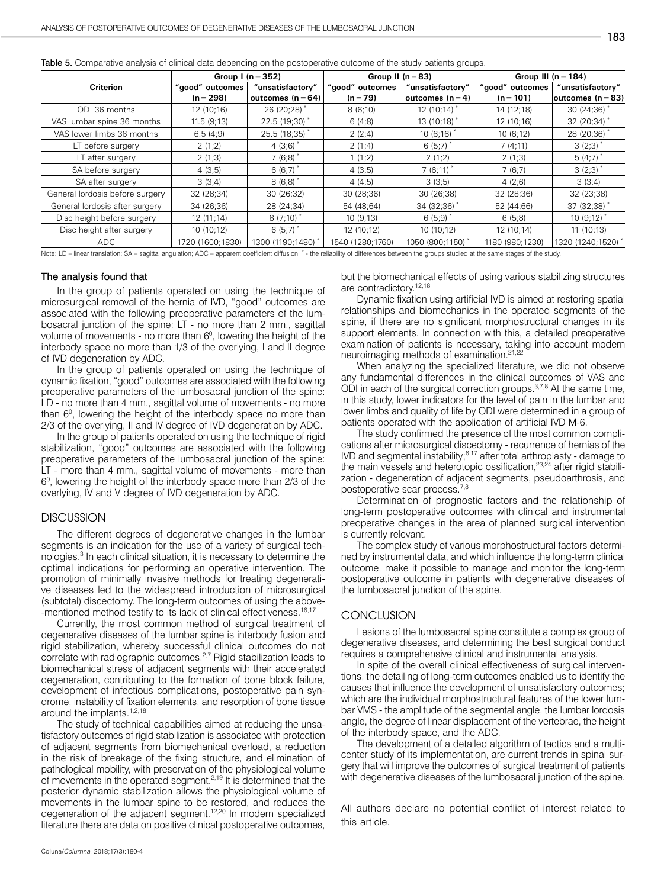|  |  |  |  |  | <b>Table 5.</b> Comparative analysis of clinical data depending on the postoperative outcome of the study patients groups. |  |
|--|--|--|--|--|----------------------------------------------------------------------------------------------------------------------------|--|
|--|--|--|--|--|----------------------------------------------------------------------------------------------------------------------------|--|

|                                 | Group $\ln(1) = 352$           |                                         | Group II $(n = 83)$           |                                      | Group III ( $n = 184$ )        |                                        |
|---------------------------------|--------------------------------|-----------------------------------------|-------------------------------|--------------------------------------|--------------------------------|----------------------------------------|
| <b>Criterion</b>                | "good" outcomes<br>$(n = 298)$ | "unsatisfactory"<br>outcomes $(n = 64)$ | "good" outcomes<br>$(n = 79)$ | "unsatisfactory"<br>outcomes $(n=4)$ | "good" outcomes<br>$(n = 101)$ | "unsatisfactory"<br> outcomes (n = 83) |
| ODI 36 months                   | 12 (10;16)                     | 26 (20;28) *                            | 8(6;10)                       | 12 (10;14)                           | 14 (12;18)                     | 30 (24;36)                             |
| VAS lumbar spine 36 months      | 11.5(9;13)                     | 22.5 (19;30)*                           | 6(4,8)                        | 13 (10;18) *                         | 12 (10;16)                     | 32 (20;34)                             |
| VAS lower limbs 36 months       | 6.5(4,9)                       | 25.5 (18;35) *                          | 2(2;4)                        | $10(6;16)^*$                         | 10(6;12)                       | 28 (20;36) *                           |
| LT before surgery               | 2(1:2)                         | 4 $(3:6)$ $\degree$                     | 2(1,4)                        | 6(5:7)                               | 7(4;11)                        | 3(2:3)                                 |
| LT after surgery                | 2(1,3)                         | 7(6;8)                                  | 1(1;2)                        | 2(1:2)                               | 2(1,3)                         | $5(4;7)^*$                             |
| SA before surgery               | 4(3;5)                         | 6(6;7)                                  | 4(3;5)                        | 7(6;11)                              | 7(6;7)                         | 3(2:3)                                 |
| SA after surgery                | 3(3;4)                         | $8(6,8)^*$                              | 4(4;5)                        | 3(3;5)                               | 4(2;6)                         | 3(3;4)                                 |
| General lordosis before surgery | 32 (28;34)                     | 30 (26;32)                              | 30 (28;36)                    | 30 (26;38)                           | 32 (28;36)                     | 32 (23;38)                             |
| General lordosis after surgery  | 34 (26;36)                     | 28 (24;34)                              | 54 (48;64)                    | 34 (32;36) *                         | 52 (44;66)                     | 37 (32;38)                             |
| Disc height before surgery      | 12(11;14)                      | $8(7;10)^*$                             | 10(9;13)                      | 6(5,9)                               | 6(5,8)                         | 10(9;12)                               |
| Disc height after surgery       | 10(10;12)                      | 6(5;7)                                  | 12 (10;12)                    | 10(10;12)                            | 12 (10;14)                     | 11(10;13)                              |
| ADC.                            | 1720 (1600;1830)               | 1300 (1190;1480) *                      | 1540 (1280;1760)              | 1050 (800:1150)*                     | 1180 (980;1230)                | 1320 (1240;1520)                       |

Note: LD – linear translation; SA – sagittal angulation; ADC – apparent coefficient diffusion; \* - the reliability of differences between the groups studied at the same stages of the study.

#### The analysis found that

In the group of patients operated on using the technique of microsurgical removal of the hernia of IVD, "good" outcomes are associated with the following preoperative parameters of the lumbosacral junction of the spine: LT - no more than 2 mm., sagittal volume of movements - no more than  $6^{\circ}$ , lowering the height of the interbody space no more than 1/3 of the overlying, I and II degree of IVD degeneration by ADC.

In the group of patients operated on using the technique of dynamic fixation, "good" outcomes are associated with the following preoperative parameters of the lumbosacral junction of the spine: LD - no more than 4 mm., sagittal volume of movements - no more than 6<sup>0</sup>, lowering the height of the interbody space no more than 2/3 of the overlying, II and IV degree of IVD degeneration by ADC.

In the group of patients operated on using the technique of rigid stabilization, "good" outcomes are associated with the following preoperative parameters of the lumbosacral junction of the spine: LT - more than 4 mm., sagittal volume of movements - more than  $6<sup>0</sup>$ , lowering the height of the interbody space more than  $2/3$  of the overlying, IV and V degree of IVD degeneration by ADC.

#### **DISCUSSION**

The different degrees of degenerative changes in the lumbar segments is an indication for the use of a variety of surgical technologies.<sup>3</sup> In each clinical situation, it is necessary to determine the optimal indications for performing an operative intervention. The promotion of minimally invasive methods for treating degenerative diseases led to the widespread introduction of microsurgical (subtotal) discectomy. The long-term outcomes of using the above- -mentioned method testify to its lack of clinical effectiveness.<sup>16,17</sup>

Currently, the most common method of surgical treatment of degenerative diseases of the lumbar spine is interbody fusion and rigid stabilization, whereby successful clinical outcomes do not correlate with radiographic outcomes.2,7 Rigid stabilization leads to biomechanical stress of adjacent segments with their accelerated degeneration, contributing to the formation of bone block failure, development of infectious complications, postoperative pain syndrome, instability of fixation elements, and resorption of bone tissue around the implants.<sup>1,2,18</sup>

The study of technical capabilities aimed at reducing the unsatisfactory outcomes of rigid stabilization is associated with protection of adjacent segments from biomechanical overload, a reduction in the risk of breakage of the fixing structure, and elimination of pathological mobility, with preservation of the physiological volume of movements in the operated segment.<sup>2,19</sup> It is determined that the posterior dynamic stabilization allows the physiological volume of movements in the lumbar spine to be restored, and reduces the degeneration of the adjacent segment.12,20 In modern specialized literature there are data on positive clinical postoperative outcomes,

but the biomechanical effects of using various stabilizing structures are contradictory.<sup>12,18</sup>

Dynamic fixation using artificial IVD is aimed at restoring spatial relationships and biomechanics in the operated segments of the spine, if there are no significant morphostructural changes in its support elements. In connection with this, a detailed preoperative examination of patients is necessary, taking into account modern neuroimaging methods of examination.21,22

When analyzing the specialized literature, we did not observe any fundamental differences in the clinical outcomes of VAS and ODI in each of the surgical correction groups.<sup>3,7,8</sup> At the same time, in this study, lower indicators for the level of pain in the lumbar and lower limbs and quality of life by ODI were determined in a group of patients operated with the application of artificial IVD M-6.

The study confirmed the presence of the most common complications after microsurgical discectomy - recurrence of hernias of the IVD and segmental instability;6,17 after total arthroplasty - damage to the main vessels and heterotopic ossification, $23,24$  after rigid stabilization - degeneration of adjacent segments, pseudoarthrosis, and postoperative scar process.7,8

Determination of prognostic factors and the relationship of long-term postoperative outcomes with clinical and instrumental preoperative changes in the area of planned surgical intervention is currently relevant.

The complex study of various morphostructural factors determined by instrumental data, and which influence the long-term clinical outcome, make it possible to manage and monitor the long-term postoperative outcome in patients with degenerative diseases of the lumbosacral junction of the spine.

## **CONCLUSION**

Lesions of the lumbosacral spine constitute a complex group of degenerative diseases, and determining the best surgical conduct requires a comprehensive clinical and instrumental analysis.

In spite of the overall clinical effectiveness of surgical interventions, the detailing of long-term outcomes enabled us to identify the causes that influence the development of unsatisfactory outcomes; which are the individual morphostructural features of the lower lumbar VMS - the amplitude of the segmental angle, the lumbar lordosis angle, the degree of linear displacement of the vertebrae, the height of the interbody space, and the ADC.

The development of a detailed algorithm of tactics and a multicenter study of its implementation, are current trends in spinal surgery that will improve the outcomes of surgical treatment of patients with degenerative diseases of the lumbosacral junction of the spine.

All authors declare no potential conflict of interest related to this article.